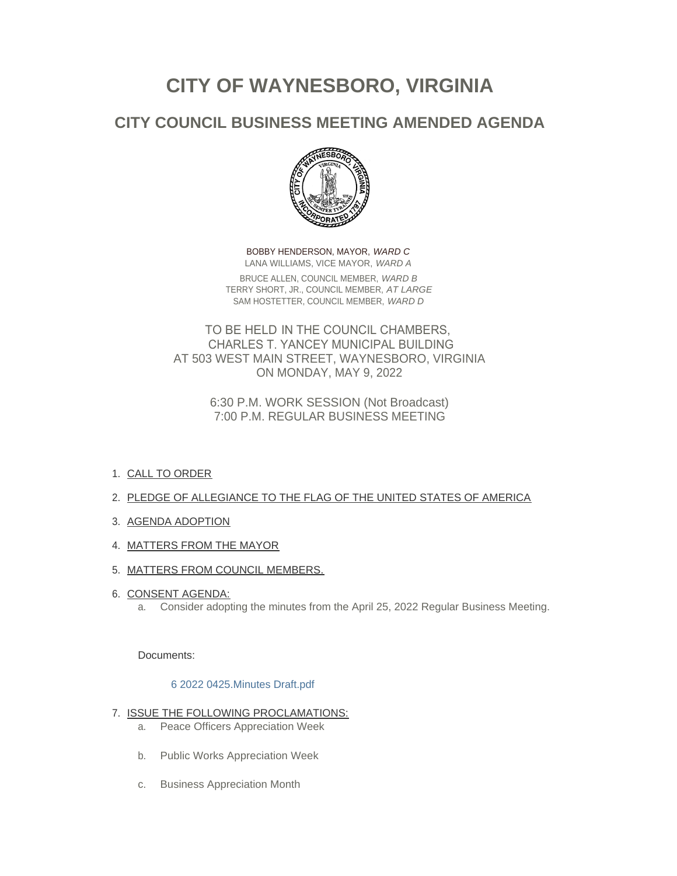# **CITY OF WAYNESBORO, VIRGINIA**

## **CITY COUNCIL BUSINESS MEETING AMENDED AGENDA**



BOBBY HENDERSON, MAYOR, *WARD C* LANA WILLIAMS, VICE MAYOR, *WARD A* BRUCE ALLEN, COUNCIL MEMBER, *WARD B* TERRY SHORT, JR., COUNCIL MEMBER, *AT LARGE* SAM HOSTETTER, COUNCIL MEMBER, *WARD D*

TO BE HELD IN THE COUNCIL CHAMBERS, CHARLES T. YANCEY MUNICIPAL BUILDING AT 503 WEST MAIN STREET, WAYNESBORO, VIRGINIA ON MONDAY, MAY 9, 2022

> 6:30 P.M. WORK SESSION (Not Broadcast) 7:00 P.M. REGULAR BUSINESS MEETING

- 1. <u>CALL TO ORDER</u>
- 2. PLEDGE OF ALLEGIANCE TO THE FLAG OF THE UNITED STATES OF AMERICA
- 3. AGENDA ADOPTION
- 4. MATTERS FROM THE MAYOR
- 5. <u>MATTERS FROM COUNCIL MEMBERS.</u>
- 6. <u>CONSENT AGENDA:</u>
	- a. Consider adopting the minutes from the April 25, 2022 Regular Business Meeting.

Documents:

#### [6 2022 0425.Minutes Draft.pdf](https://www.waynesboro.va.us/AgendaCenter/ViewFile/Item/4703?fileID=44508)

- 7. <u>ISSUE THE FOLLOWING PROCLAMATIONS:</u>
	- a. Peace Officers Appreciation Week
	- b. Public Works Appreciation Week
	- c. Business Appreciation Month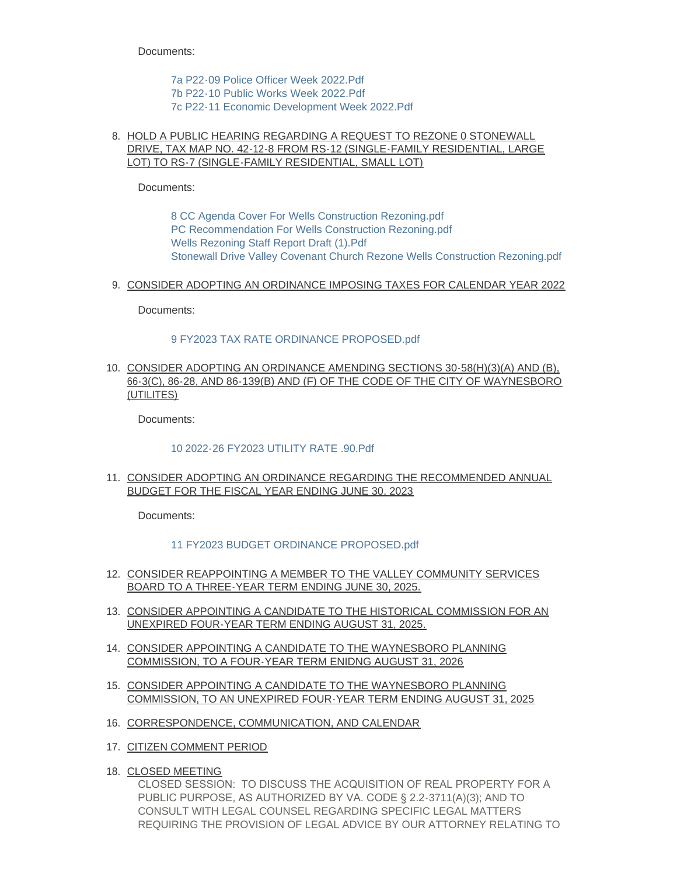Documents:

[7a P22-09 Police Officer Week 2022.Pdf](https://www.waynesboro.va.us/AgendaCenter/ViewFile/Item/4704?fileID=44509) [7b P22-10 Public Works Week 2022.Pdf](https://www.waynesboro.va.us/AgendaCenter/ViewFile/Item/4704?fileID=44510) [7c P22-11 Economic Development Week 2022.Pdf](https://www.waynesboro.va.us/AgendaCenter/ViewFile/Item/4704?fileID=44511)

#### 8. HOLD A PUBLIC HEARING REGARDING A REQUEST TO REZONE 0 STONEWALL DRIVE, TAX MAP NO. 42-12-8 FROM RS-12 (SINGLE-FAMILY RESIDENTIAL, LARGE LOT) TO RS-7 (SINGLE-FAMILY RESIDENTIAL, SMALL LOT)

Documents:

[8 CC Agenda Cover For Wells Construction Rezoning.pdf](https://www.waynesboro.va.us/AgendaCenter/ViewFile/Item/4705?fileID=44520) [PC Recommendation For Wells Construction Rezoning.pdf](https://www.waynesboro.va.us/AgendaCenter/ViewFile/Item/4705?fileID=44521) [Wells Rezoning Staff Report Draft \(1\).Pdf](https://www.waynesboro.va.us/AgendaCenter/ViewFile/Item/4705?fileID=44522) [Stonewall Drive Valley Covenant Church Rezone Wells Construction Rezoning.pdf](https://www.waynesboro.va.us/AgendaCenter/ViewFile/Item/4705?fileID=44523)

9. <u>CONSIDER ADOPTING AN ORDINANCE IMPOSING TAXES FOR CALENDAR YEAR 2022</u>

Documents:

#### [9 FY2023 TAX RATE ORDINANCE PROPOSED.pdf](https://www.waynesboro.va.us/AgendaCenter/ViewFile/Item/4706?fileID=44516)

10. CONSIDER ADOPTING AN ORDINANCE AMENDING SECTIONS 30-58(H)(3)(A) AND (B), 66-3(C), 86-28, AND 86-139(B) AND (F) OF THE CODE OF THE CITY OF WAYNESBORO (UTILITES)

Documents:

#### [10 2022-26 FY2023 UTILITY RATE .90.Pdf](https://www.waynesboro.va.us/AgendaCenter/ViewFile/Item/4707?fileID=44517)

11. CONSIDER ADOPTING AN ORDINANCE REGARDING THE RECOMMENDED ANNUAL BUDGET FOR THE FISCAL YEAR ENDING JUNE 30, 2023

Documents:

#### [11 FY2023 BUDGET ORDINANCE PROPOSED.pdf](https://www.waynesboro.va.us/AgendaCenter/ViewFile/Item/4708?fileID=44518)

- 12. CONSIDER REAPPOINTING A MEMBER TO THE VALLEY COMMUNITY SERVICES BOARD TO A THREE-YEAR TERM ENDING JUNE 30, 2025.
- 13. CONSIDER APPOINTING A CANDIDATE TO THE HISTORICAL COMMISSION FOR AN UNEXPIRED FOUR-YEAR TERM ENDING AUGUST 31, 2025.
- 14. CONSIDER APPOINTING A CANDIDATE TO THE WAYNESBORO PLANNING COMMISSION, TO A FOUR-YEAR TERM ENIDNG AUGUST 31, 2026
- 15. CONSIDER APPOINTING A CANDIDATE TO THE WAYNESBORO PLANNING COMMISSION, TO AN UNEXPIRED FOUR-YEAR TERM ENDING AUGUST 31, 2025
- 16. CORRESPONDENCE, COMMUNICATION, AND CALENDAR
- 17. CITIZEN COMMENT PERIOD
- 18. CLOSED MEETING

CLOSED SESSION: TO DISCUSS THE ACQUISITION OF REAL PROPERTY FOR A PUBLIC PURPOSE, AS AUTHORIZED BY VA. CODE § 2.2-3711(A)(3); AND TO CONSULT WITH LEGAL COUNSEL REGARDING SPECIFIC LEGAL MATTERS REQUIRING THE PROVISION OF LEGAL ADVICE BY OUR ATTORNEY RELATING TO